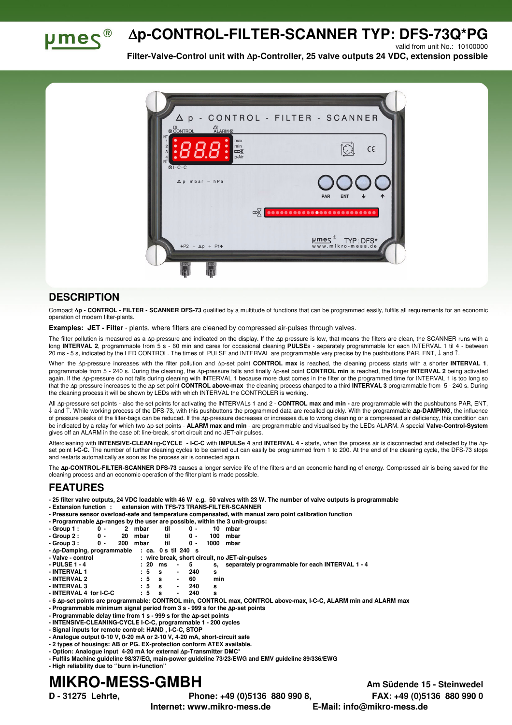

## ∆**p-CONTROL-FILTER-SCANNER TYP: DFS-73Q\*PG**

valid from unit No.: 10100000

**Filter-Valve-Control unit with** ∆**p-Controller, 25 valve outputs 24 VDC, extension possible** 



## **DESCRIPTION**

Compact ∆**p - CONTROL - FILTER - SCANNER DFS-73** qualified by a multitude of functions that can be programmed easily, fulfils all requirements for an economic operation of modern filter-plants.

**Examples: JET - Filter** - plants, where filters are cleaned by compressed air-pulses through valves.

The filter pollution is measured as a ∆p-pressure and indicated on the display. If the ∆p-pressure is low, that means the filters are clean, the SCANNER runs with a long **INTERVAL 2**, programmable from 5 s - 60 min and cares for occasional cleaning **PULSE**s - separately programmable for each INTERVAL 1 til 4 - between 20 ms - 5 s, indicated by the LED CONTROL. The times of PULSE and INTERVAL are programmable very precise by the pushbuttons PAR, ENT, ↓ and ↑.

When the ∆p-pressure increases with the filter pollution and ∆p-set point **CONTROL max** is reached, the cleaning process starts with a shorter **INTERVAL 1**, programmable from 5 - 240 s. During the cleaning, the ∆p-pressure falls and finally ∆p-set point **CONTROL min** is reached, the longer **INTERVAL 2** being activated again. If the ∆p-pressure do not falls during cleaning with INTERVAL 1 because more dust comes in the filter or the programmed time for INTERVAL 1 is too long so that the ∆p-pressure increases to the ∆p-set point **CONTROL above-max** the cleaning process changed to a third **INTERVAL 3** programmable from 5 - 240 s. During the cleaning process it will be shown by LEDs with which INTERVAL the CONTROLER is working.

All ∆p-pressure set points - also the set points for activating the INTERVALs 1 and 2 - **CONTROL max and min -** are programmable with the pushbuttons PAR, ENT, ↓ and ↑. While working process of the DFS-73, with this pushbuttons the programmed data are recalled quickly. With the programmable ∆**p-DAMPING**, the influence of pressure peaks of the filter-bags can be reduced. If the ∆p-pressure decreases or increases due to wrong cleaning or a compressed air deficiency, this condition can be indicated by a relay for which two ∆p-set points - **ALARM max and min** - are programmable and visualised by the LEDs ALARM. A special **Valve-Control-System** gives off an ALARM in the case of: line-break, short circuit and no JET-air pulses.

Aftercleaning with **INTENSIVE-CLEAN**ing**-CYCLE - I-C-C** with **IMPULS**e **4** and **INTERVAL 4 -** starts, when the process air is disconnected and detected by the ∆pset point I-C-C. The number of further cleaning cycles to be carried out can easily be programmed from 1 to 200. At the end of the cleaning cycle, the DFS-73 stops and restarts automatically as soon as the process air is connected again.

The **Ap-CONTROL-FILTER-SCANNER DFS-73** causes a longer service life of the filters and an economic handling of energy. Compressed air is being saved for the cleaning process and an economic operation of the filter plant is made possible.

## **FEATURES**

- **25 filter valve outputs, 24 VDC loadable with 46 W e.g. 50 valves with 23 W. The number of valve outputs is programmable**
- **Extension function : extension with TFS-73 TRANS-FILTER-SCANNER**
- **Pressure sensor overload-safe and temperature compensated, with manual zero point calibration function**

| - Programmable $\Delta p$ -ranges by the user are possible, within the 3 unit-groups: |  |  |  |  |
|---------------------------------------------------------------------------------------|--|--|--|--|
| and a a un dia a secondo                                                              |  |  |  |  |

| $-Group 1:$ | ი - | 2 mbar  | til | ი - | 10 mbar  |  |
|-------------|-----|---------|-----|-----|----------|--|
| - Group 2 : | 0 - | 20 mbar |     | ი - | 100 mbar |  |

| $- - - - - -$ |     | -------- | .   |               |  |
|---------------|-----|----------|-----|---------------|--|
| - Group 3 :   | 0 - | 200 mbar | til | 0 - 1000 mbar |  |
|               |     |          |     |               |  |

| $-\Delta p$ -Damping, programmable : ca. 0 s til 240 s |  |  |                                                                                                                 |  |  |
|--------------------------------------------------------|--|--|-----------------------------------------------------------------------------------------------------------------|--|--|
|                                                        |  |  | the contract of the contract of the contract of the contract of the contract of the contract of the contract of |  |  |

| - Valve - control |            |       | : wire break, short circuit, no JET-air-pulses     |
|-------------------|------------|-------|----------------------------------------------------|
| - PULSE 1 - 4     | :20 ms - 5 |       | s, separately programmable for each INTERVAL 1 - 4 |
| - INTERVAL 1      | $5 \,$ s   | - 240 |                                                    |

- **INTERVAL 1 : 5 s 240 s - INTERVAL 2** : 5<br>**- INTERVAL 3** : 5
- **INTERVAL 3 : 5 s 240 s**
- **INTERVAL 4 for I-C-C : 5 s 240 s**
- **6** ∆**p-set points are programmable: CONTROL min, CONTROL max, CONTROL above-max, I-C-C, ALARM min and ALARM max**
- **Programmable minimum signal period from 3 s 999 s for the** ∆**p-set points**
- **Programmable delay time from 1 s 999 s for the** ∆**p-set points**
- **INTENSIVE-CLEANING-CYCLE I-C-C, programmable 1 200 cycles**
- **Signal inputs for remote control: HAND , I-C-C, STOP - Analogue output 0-10 V, 0-20 mA or 2-10 V, 4-20 mA, short-circuit safe**
- **2 types of housings: AB or PG. EX-protection conform ATEX available.**
- **Option: Analogue input 4-20 mA for external** ∆**p-Transmitter DMC\***
- **Fulfils Machine guideline 98/37/EG, main-power guideline 73/23/EWG and EMV guideline 89/336/EWG**
- **High reliability due to ''burn in-function''**

## **MIKRO-MESS-GMBH Am Südende 15 - Steinwedel**

**D - 31275 Lehrte, Phone: +49 (0)5136 880 990 8, FAX: +49 (0)5136 880 990 0** 

**Internet: www.mikro-mess.de E-Mail: info@mikro-mess.de**